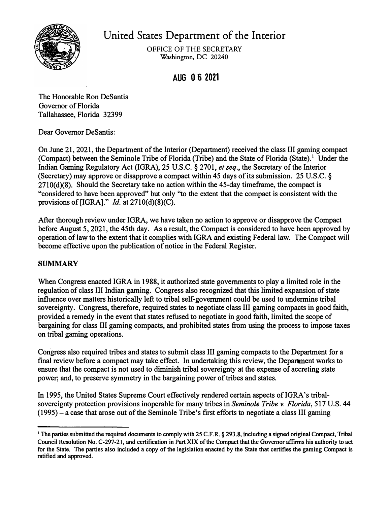

# United States Department of the Interior

OFFICE OF THE SECRETARY **Washington, DC 20240** 

# **AUG 0·6 2021**

**The Honorable Ron DeSantis Governor of Florida Tallahassee, Florida 32399** 

**Dear Governor DeSantis:** 

**On June 21, 2021, the Department of the Interior (Department) received the class III gaming compact (Compact) between the Seminole Tribe of Florida (Tribe) and the State of Florida (State).**1 **Under the Indian Gaming Regulatory Act (IGRA), 25 U.S.C. § 2701,** *et seq.,* **the Secretary of the Interior (Secretary) may approve or disapprove a compact within 45 days of its submission. 25 U.S.C. § 2710(d)(8). Should the Secretary take no action within the 45-day timeframe, the compact is "considered to have been approved" but only "to the extent that the compact is consistent with the provisions of [IGRA]."** *Id.* **at 2710(d)(8)(C).** 

**After thorough review under IGRA, we have taken no action to approve or disapprove the Compact before August 5, 2021, the 45th day. As a result, the Compact is considered to have been approved by operation oflaw to the extent that it complies with IGRA and existing Federal law. The Compact will become effective upon the publication of notice in the Federal Register.** 

# **SUMMARY**

**When Congress enacted IGRA in 1988, it authorized state governments to play a limited role in the regulation of class III Indian gaming. Congress also recognized that this limited expansion of state influence over matters historically left to tribal self-government could be used to undermine tribal sovereignty. Congress, therefore, required states to negotiate class III gaming compacts in good faith, provided a remedy in the event that states refused to negotiate in good faith, limited the scope of bargaining for class III gaming compacts, and prohibited states from using the process to impose taxes on tribal gaming operations.** 

**Congress also required tribes and states to submit class III gaming compacts to the Department for a final review before a compact may take effect. In undertaking this review, the Department works to ensure that the compact is not used to diminish tribal sovereignty at the expense of accreting state power; and, to preserve symmetry in the bargaining power of tribes and states.** 

**In 1995, the United States Supreme Court effectively rendered certain aspects of IGRA's tribalsovereignty protection provisions inoperable for many tribes in** *Seminole Tribe v. Florida,* **517 U.S. 44 (1995)-a case that arose out of the Seminole Tribe's first efforts to negotiate a class III gaming** 

**<sup>1</sup>The parties submitted the required documents to comply with 25 C.F.R. § 293.8, including a signed original Compact, Tribal Council Resolution No. C-297-21, and certification in Part XIX of the Compact that the Governor affirms his authority to act for the State. The parties also included a copy of the legislation enacted by the State that certifies the gaming Compact is ratified and approved.**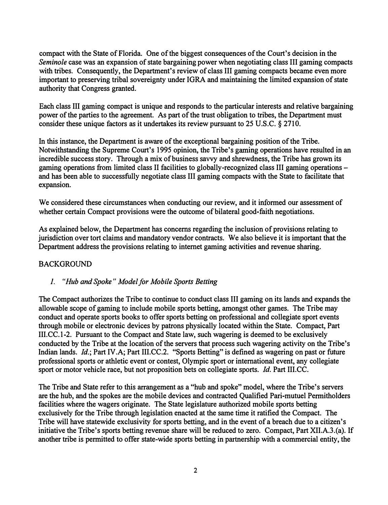**compact with the State of Florida. One of the biggest consequences of the Court's decision in the**  *Seminole* **case was an expansion of state bargaining power when negotiating class III gaming compacts with tribes. Consequently, the Department's review of class III gaming compacts became even more important to preserving tribal sovereignty under IGRA and maintaining the limited expansion of state authority that Congress granted.** 

**Each class III gaming compact is unique and responds to the particular interests and relative bargaining power of the parties to the agreement. As part of the trust obligation to tribes, the Department must consider these unique factors as it undertakes its review pursuant to 25 U.S.C. § 2710.** 

**In this instance, the Department is aware of the exceptional bargaining position of the Tribe. Notwithstanding the Supreme Court's 1995 opinion, the Tribe's gaming operations have resulted in an incredible success story. Through a mix of business savvy and shrewdness, the Tribe has grown its gaming operations from limited class II facilities to globally-recognized class III gaming operations and has been able to successfully negotiate class III gaming compacts with the State to facilitate that expansion.** 

**We considered these circumstances when conducting our review, and it informed our assessment of whether certain Compact provisions were the outcome of bilateral good-faith negotiations.** 

**As explained below, the Department has concerns regarding the inclusion of provisions relating to jurisdiction over tort claims and mandatory vendor contracts. We also believe it is important that the Department address the provisions relating to internet gaming activities and revenue sharing.** 

# **BACKGROUND**

#### *1. "Hub and Spoke " Model for Mobile Sports Betting*

**The Compact authorizes the Tribe to continue to conduct class III gaming on its lands and expands the allowable scope of gaming to include mobile sports betting, amongst other games. The Tribe may conduct and operate sports books to offer sports betting on professional and collegiate sport events through mobile or electronic devices by patrons physically located within the State. Compact, Part III.CC.1-2. Pursuant to the Compact and State law, such wagering is deemed to be exclusively conducted by the Tribe at the location of the servers that process such wagering activity on the Tribe's Indian lands.** *Id.;* **Part IV.A; Part III.CC.2. "Sports Betting" is defined as wagering on past or future professional sports or athletic event or contest, Olympic sport or international event, any collegiate sport or motor vehicle race, but not proposition bets on collegiate sports.** *Id.* **Part III.CC.**

**The Tribe and State refer to this arrangement as a "hub and spoke" model, where the Tribe's servers are the hub, and the spokes are the mobile devices and contracted Qualified Pari-mutuel Permitholders facilities where the wagers originate. The State legislature authorized mobile sports betting exclusively for the Tribe through legislation enacted at the same time it ratified the Compact. The Tribe will have statewide exclusivity for sports betting, and in the event of a breach due to a citizen's initiative the Tribe's sports betting revenue share will be reduced to zero. Compact, Part XII.A.3.(a). If another tribe is permitted to offer state-wide sports betting in partnership with a commercial entity, the**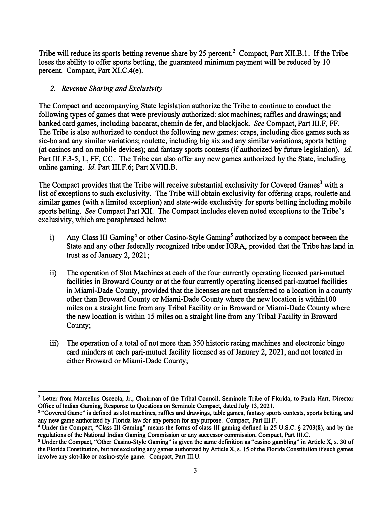Tribe will reduce its sports betting revenue share by 25 percent.**2** Compact, Part XII.B.1. If the Tribe loses the ability to offer sports betting, the guaranteed minimum payment will be reduced by 10 percent. Compact, Part XI.C.4(e).

#### *2. Revenue Sharing and Exclusivity*

The Compact and accompanying State legislation authorize the Tribe to continue to conduct the following types of games that were previously authorized: slot machines; raffles and drawings; and banked card games, including baccarat, chemin de fer, and blackjack. *See* Compact, Part 111.F, FF. The Tribe is also authorized to conduct *the* following new games: craps, including dice games such as sic-bo and any similar variations; roulette, including big six and any similar variations; sports betting (at casinos and on mobile devices); and fantasy sports contests (if authorized by future legislation). *Id.*  Part 111.F.3-5, L, FF, CC. The Tribe can also offer any new games authorized by the State, including online gaming. *Id.* Part 111.F.6; Part XVIII.B.

The Compact provides that the Tribe will receive substantial exclusivity for Covered Games<sup>3</sup> with a list of exceptions to such exclusivity. The Tribe will obtain exclusivity for offering craps, roulette and similar games (with a limited exception) and state-wide exclusivity for sports betting including mobile sports betting. *See* Compact Part XII. The Compact includes eleven noted exceptions to the Tribe's exclusivity, which are paraphrased below:

- i) Any Class III [Gaming](#page-3-0) **4** or other Casino-Style Gaming**5** authorized by a compact between the State and any other federally recognized tribe under IGRA, provided that the Tribe has land in trust as of January 2, 2021;
- ii) The operation of Slot Machines at each of the four currently operating licensed pari-mutuel facilities in Broward County or at the four currently operating licensed pari-mutuel facilities in Miami-Dade County, provided that the licenses are not transferred to a location in a county other than Broward County or Miami-Dade County where the new location is withinl00 miles on a straight line from any Tribal Facility or in Broward or Miami-Dade County where the new location is within 15 miles on a straight line from any Tribal Facility in Broward County;
- iii) The operation of a total of not more than 350 historic racing machines and electronic bingo card minders at each pari-mutuel facility licensed as of January 2, 2021, and not located in either Broward or Miami-Dade County;

**<sup>2</sup> Letter from Marcellus Osceola, Jr., Chairman of the Tribal Council, Seminole Tribe of Florida, to Paula Hart, Director Office of Indian Gaming, Response to Questions on Seminole Compact, dated July 13, 2021.** 

**<sup>3 &</sup>quot;Covered Game" is defined as slot machines, raffles and drawings, table games, fantasy sports contests, sports betting, and any new game authorized by Florida law for any person for any purpose. Compact, Part III.F.** 

**[<sup>4</sup>](#page-3-0) Under the Compact, "Class III Gaming" means the forms of class III gaming defined in 25 U.S.C. § 2703(8), and by the regulations of the National Indian Gaming Commission or any successor commission. Compact, Part III.C.** 

*<sup>5</sup>***Under the Compact, "Other Casino-Style Gaming" is given the same definition as "casino gambling" in Article X, s. 30 of the Florida Constitution, but not excluding any games authorized by Article X, s. I** *5* **of the Florida Constitution if such games involve any slot-like or casino-style game. Compact, Part 111.U.**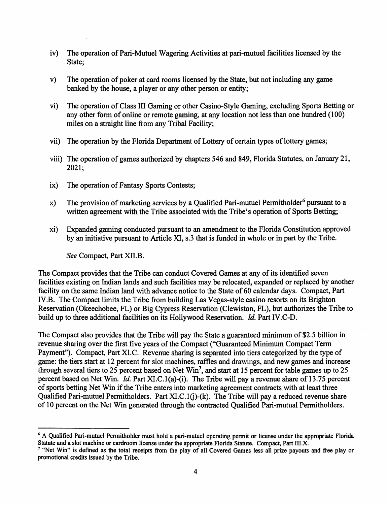- <span id="page-3-0"></span>iv) The operation of Pari-Mutuel Wagering Activities at pari-mutuel facilities licensed by the State;
- v) The operation of poker at card rooms licensed by the State, but not including any game banked by the house, a player or any other person or entity;
- vi) The operation ofClass III Gaming or other Casino-Style Gaming, excluding Sports Betting or any other form of online or remote gaming, at any location not less than one hundred (100) miles on a straight line from any Tribal Facility;
- vii) The operation by the Florida Department of Lottery of certain types of lottery games;
- viii) The operation of games authorized by chapters 546 and 849, Florida Statutes, on January 21, 2021;
- ix) The operation of Fantasy Sports Contests;
- x) The provision of marketing services by a Qualified Pari-mutuel Permitholder<sup>6</sup> pursuant to a written agreement with the Tribe associated with the Tribe's operation of Sports Betting;
- xi) Expanded gaming conducted pursuant to an amendment to the Florida Constitution approved by an initiative pursuant to Article XI, s.3 that is funded in whole or in part by the Tribe.

*See* Compact, Part XII.B.

The Compact provides that the Tribe can conduct Covered Games at any of its identified seven facilities existing on Indian lands and such facilities may be relocated, expanded or replaced by another facility on the same Indian land with advance notice to the State of 60 calendar days. Compact, Part IV.B. The Compact limits the Tribe from building Las Vegas-style casino resorts on its Brighton Reservation (Okeechobee, FL) or Big Cypress Reservation (Clewiston, FL), but authorizes the Tribe to build up to three additional facilities on its Hollywood Reservation. *Id.* Part IV.C-D.

The Compact also provides that the Tribe will pay the State a guaranteed minimum of\$2.5 billion in revenue sharing over the first five years of the Compact ("Guaranteed Minimum Compact Term Payment"). Compact, Part XI.C. Revenue sharing is separated into tiers categorized by the type of game: the tiers start at 12 percent for slot machines, raffles and drawings, and new games and increase through several tiers to 25 percent based on Net Win<sup>7</sup>, and start at 15 percent for table games up to 25 percent based on Net Win. *Id.* Part XI.C.l(a)-(i). The Tribe will pay a revenue share of 13.75 percent of sports betting Net Win if the Tribe enters into marketing agreement contracts with at least three Qualified Pari-mutuel Permitholders. Part XI.C.1(j)-(k). The Tribe will pay a reduced revenue share of 10 percent on the Net Win generated through the contracted Qualified Pari-mutual Permitholders.

<sup>&</sup>lt;sup>6</sup> A Qualified Pari-mutuel Permitholder must hold a pari-mutuel operating permit or license under the appropriate Florida Statute and a slot machine or cardroom license under the appropriate Florida Statute. Compact, Part III.X.

<sup>&</sup>lt;sup>7</sup> "Net Win" is defined as the total receipts from the play of all Covered Games less all prize payouts and free play or promotional credits issued by the Tribe.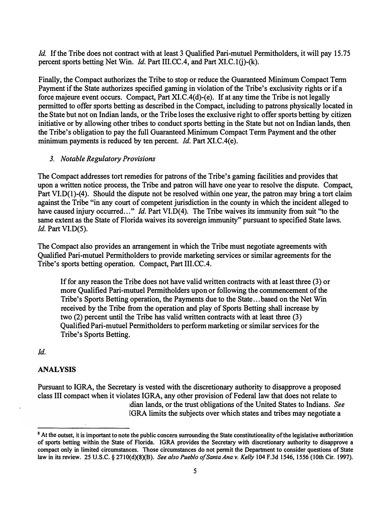*Id.* **If the Tribe does not contract with at least 3 Qualified Pari-mutuel Permitholders, it will pay 15.75 percent sports betting Net Win.** *Id.* **Part III.CC.4, and Part XI.C.1(j)-(k).** 

**Finally, the Compact authorizes the Tribe to stop or reduce the Guaranteed Minimum Compact Term Payment if the State authorizes specified gaming in violation of the Tribe's exclusivity rights or if a**  force majeure event occurs. Compact, Part XI.C.4(d)-(e). If at any time the Tribe is not legally **permitted to offer sports betting as described in the Compact, including to patrons physically located in the State but not on Indian lands, or the Tribe loses the exclusive right to offer sports betting by citizen initiative or by allowing other tribes to conduct sports betting in the State but not on Indian lands, then the Tribe's obligation to pay the full Guaranteed Minimum Compact Term Payment and the other**  minimum payments is reduced by ten percent. *Id.* Part XI.C.4(e).

#### *3. Notable Regulatory Provisions*

**The Compact addresses tort remedies for patrons of the Tribe's gaming facilities and provides that upon a written notice process, the Tribe and patron will have one year to resolve the dispute. Compact, Part VI.D(l)-(4). Should the dispute not be resolved within one year, the patron may bring a tort claim against the Tribe "in any court of competent jurisdiction in the county in which the incident alleged to** have caused injury occurred..." *Id.* Part VI.D(4). The Tribe waives its immunity from suit "to the **same extent as the State of Florida waives its sovereign immunity" pursuant to specified State laws.**  *Id.* **Part VI.D(S).**

**The Compact also provides an arrangement in which the Tribe must negotiate agreements with Qualified Pari-mutuel Permitholders to provide marketing services or similar agreements for the Tribe's sports betting operation. Compact, Part 111.CC.4.** 

**If for any reason the Tribe does not have valid written contracts with at least three (3) or more Qualified Pari-mutuel Permitholders upon or following the commencement of the Tribe's Sports Betting operation, the Payments due to the State ... based on the Net Win received by the Tribe from the operation and play of Sports Betting shall increase by two (2) percent until the Tribe has valid written contracts with at least three (3) Qualified Pari-mutuel Permitholders to perform marketing or similar services for the Tribe's Sports Betting.** 

# *Id.*

# **ANALYSIS**

**Pursuant to IGRA, the Secretary is vested with the discretionary authority to disapprove a proposed class III compact when it violates IGRA, any other provision of Federal law that does not relate to idian lands, or the trust obligations of the United States to Indians.** *See* **1GRA limits the subjects over which states and tribes may negotiate a** 

**<sup>8</sup>At the outset, it is important to note the public concern surrounding the State constitutionality of the legislative authorization of sports betting within the State of Florida. IGRA provides the Secretary with discretionary authority to disapprove a compact only in limited circumstances. Those circumstances do not permit the Department to consider questions of State law in its review. 25 U.S.C. § 2710(d)(8)(B).** *See also Pueblo of Santa Ana v. Kelly* **104 F.3d 1546, 1556 (10th Cir. 1997).**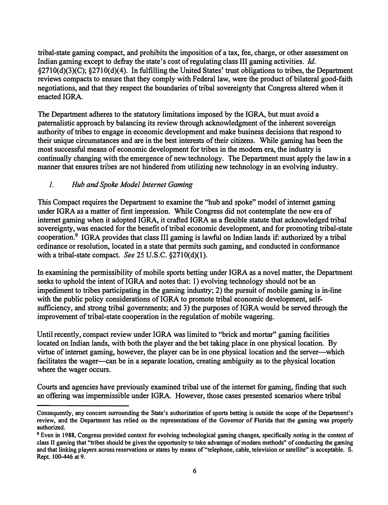**tribal-state gaming compact, and prohibits the imposition of a tax, fee, charge, or other assessment on Indian gaming except to defray the state's cost of regulating class III gaming activities.** *Id.*  **§2710(d)(3)(C); §2710(d)(4). In fulfilling the United States' trust obligations to tribes, the Department reviews compacts to ensure that they comply with Federal law, were the product of bilateral good-faith negotiations, and that they respect the boundaries of tribal sovereignty that Congress altered when it enacted IGRA.**

**The Department adheres to the statutory limitations imposed by the IGRA, but must avoid a paternalistic approach by balancing its review through acknowledgment of the inherent sovereign authority of tribes to engage in economic development and make business decisions that respond to their unique circumstances and are in the best interests of their citizens. While gaming has been the most successful means of economic development for tribes in the modem era, the industry is continually changing with the emergence of new technology. The Department must apply the law in a manner that ensures tribes are not hindered from utilizing new technology in an evolving industry.** 

#### *1. Hub and Spoke Model Internet Gaming*

**This Compact requires the Department to examine the "hub and spoke" model of internet gaming under IGRA as a matter of first impression. While Congress did not contemplate the new era of internet gaming when it adopted IGRA, it crafted IGRA as a flexible statute that acknowledged tribal sovereignty, was enacted for the benefit of tribal economic development, and for promoting tribal-state cooperation.<sup>9</sup>IGRA provides that class III gaming is lawful on Indian lands if: authorized by a tribal ordinance or resolution, located in a state that permits such gaming, and conducted in conformance with a tribal-state compact.** *See* **25 U.S.C. §2710(d)(l).** 

**In examining the permissibility of mobile sports betting under IGRA as a novel matter, the Department**  seeks to uphold the intent of IGRA and notes that: 1) evolving technology should not be an **impediment to tribes participating in the gaming industry; 2) the pursuit of mobile gaming is in-line with the public policy considerations of IGRA to promote tribal economic development, self**sufficiency, and strong tribal governments; and 3) the purposes of IGRA would be served through the **improvement of tribal-state cooperation in the regulation of mobile wagering.** 

**Until recently, compact review under IGRA was limited to "brick and mortar" gaming facilities located on Indian lands, with both the player and the bet taking place in one physical location. By virtue of internet gaming, however, the player can be in one physical location and the server-which**  facilitates the wager—can be in a separate location, creating ambiguity as to the physical location **where the wager occurs.** 

**Courts and agencies have previously examined tribal use of the internet for gaming, finding that such an offering was impermissible under IGRA. However, those cases presented scenarios where tribal** 

**Consequently, any concern surrounding the State's authorization of sports betting is outside the scope of the Department's review, and the Department has relied on the representations of the Governor of Florida that the gaming was properly authorized.** 

**<sup>9</sup>Even in 1988, Congress provided context for evolving technological gaming changes, specifically noting in the context of class II gaming that "tribes should be given the opportunity to take advantage of modem methods" of conducting the gaming and that linking players across reservations or states by means of "telephone, cable, television or satellite" is acceptable. S. Rept. l 00-446 at 9.**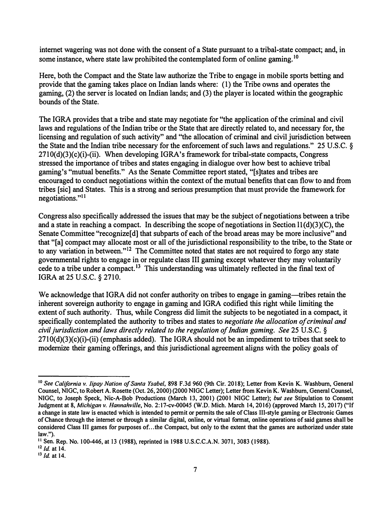**internet wagering was not done with the consent of a State pursuant to a tribal-state compact; and, in some instance, where state law prohibited the contemplated form of online [gaming.](https://gaming.10)** 10

**Here, both the Compact and the State law authorize the Tribe to engage in mobile sports betting and provide that the gaming takes place on Indian lands where: ( 1) the Tribe owns and operates the gaming, (2) the server is located on Indian lands; and (3) the player is located within the geographic bounds of the State.** 

**The IGRA provides that a tribe and state may negotiate for "the application of the criminal and civil laws and regulations of the Indian tribe or the State that are directly related to, and necessary for, the licensing and regulation of such activity" and "the allocation of criminal and civil jurisdiction between the State and the Indian tribe necessary for the enforcement of such laws and regulations." 25 U.S.C. § 2710(d)(3)(c)(i)-(ii). When developing IGRA's framework for tribal-state compacts, Congress stressed the importance of tribes and states engaging in dialogue over how best to achieve tribal gaming's "mutual benefits." As the Senate Committee report stated, "[s]tates and tribes are encouraged to conduct negotiations within the context of the mutual benefits that can flow to and from tribes [sic] and States. This is a strong and serious presumption that must provide the framework for negotiations."**<sup>11</sup>

**Congress also specifically addressed the issues that may be the subject of negotiations between a tribe and a state in reaching a compact. In describing the scope of negotiations in Section ll{d)(3)(C), the Senate Committee "recognize[ d] that subparts of each of the broad areas may be more inclusive" and that "[a] compact may allocate most or all of the jurisdictional responsibility to the tribe, to the State or to any variation in between."** 12 **The Committee noted that states are not required to forgo any state governmental rights to engage in or regulate class III gaming except whatever they may voluntarily cede to a tribe under a compact. 13 This understanding was ultimately reflected in the final text of IGRA at 25 U.S.C. § 2710.** 

**We acknowledge that IGRA did not confer authority on tribes to engage in gaming-tribes retain the inherent sovereign authority to engage in gaming and IGRA codified this right while limiting the extent of such authority. Thus, while Congress did limit the subjects to be negotiated in a compact, it specifically contemplated the authority to tribes and states to** *negotiate the allocation of criminal and civil jurisdiction and laws directly related to the regulation of Indian gaming. See* **25 U.S.C. § 2710(d)(3)(c)(i)-(ii) (emphasis added). The IGRA should not be an impediment to tribes that seek to modernize their gaming offerings, and this jurisdictional agreement aligns with the policy goals of** 

**<sup>10</sup>***See California v. lipay Nation of Santa Ysabel,* **898 F.3d 960 (9th Cir. 2018); Letter from Kevin K. Washburn, General Counsel, NIGC, to Robert A. Rosette (Oct. 26, 2000) (2000 NIGC Letter); Letter from Kevin K. Washburn, General Counsel, NIGC, to Joseph Speck, Nie-A-Bob Productions (March 13, 2001) (2001 NIGC Letter);** *but see* **Stipulation to Consent Judgment at 8,** *Michigan v. Hannahville,* **No. 2:17-cv-00045 (W.D. Mich. March 14, 2016) (approved March 15, 2017) ("If a change in state law is enacted which is intended to permit or permits the sale of Class III-style gaming or Electronic Games of Chance through the internet or through a similar digital, online, or virtual format, online operations of said games shall be considered Class III games for purposes of ... the Compact, but only to the extent that the games are authorized under state law.").**

**<sup>11</sup> Sen. Rep. No. 100-446, at 13 (1988), reprinted in 1988 U.S.C.C.A.N. 3071, 3083 (1988).**

 $12$  */d.* at 14.

**<sup>13</sup>***Id.* **at 14.**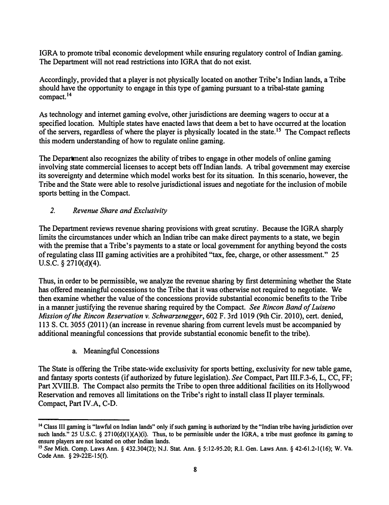IGRA to promote tribal economic development while ensuring regulatory control of Indian gaming. The Department will not read restrictions into IGRA that do not exist.

Accordingly, provided that a player is not physically located on another Tribe's Indian lands, a Tribe should have the opportunity to engage in this type of gaming pursuant to a tribal-state gaming [compact.](https://compact.14)**<sup>14</sup>**

As technology and internet gaming evolve, other jurisdictions are deeming wagers to occur at a specified location. Multiple states have enacted laws that deem a bet to have occurred at the location of the servers, regardless of where the player is physically located in the state.15 The Compact reflects this modern understanding of how to regulate online gaming.

The Department also recognizes the ability of tribes to engage in other models of online gaming involving state commercial licenses to accept bets off Indian lands. A tribal government may exercise its sovereignty and determine which model works best for its situation. In this scenario, however, the Tribe and the State were able to resolve jurisdictional issues and negotiate for the inclusion of mobile sports betting in the Compact.

#### *2. Revenue Share and Exclusivity*

The Department reviews revenue sharing provisions with great scrutiny. Because the IGRA sharply limits the circumstances under which an Indian tribe can make direct payments to a state, we begin with the premise that a Tribe's payments to a state or local government for anything beyond the costs of regulating class III gaming activities are a prohibited "tax, fee, charge, or other assessment." 25 U.S.C.  $\S 2710(d)(4)$ .

Thus, in order to be permissible, we analyze the revenue sharing by first determining whether the State has offered meaningful concessions to the Tribe that it was otherwise not required to negotiate. We then examine whether the value of the concessions provide substantial economic benefits to the Tribe in a manner justifying the revenue sharing required by the Compact. *See Rincon Band of Luiseno Mission of the Rincon Reservation v. Schwarzenegger,* 602 F. 3rd 1019 (9th Cir. 2010), cert. denied, 113 S. Ct. 3055 (2011) (an increase in revenue sharing from current levels must be accompanied by additional meaningful concessions that provide substantial economic benefit to the tribe).

a. Meaningful Concessions

The State is offering the Tribe state-wide exclusivity for sports betting, exclusivity for new table game, and fantasy sports contests (if authorized by future legislation). *See* Compact, Part III.F.3-6, L, CC, FF; Part XVIII.B. The Compact also permits the Tribe to open three additional facilities on its Hollywood Reservation and removes all limitations on the Tribe's right to install class II player terminals. Compact, Part IV.A, C-D.

**<sup>14</sup>Class III gaming is "lawful on Indian lands" only if such gaming is authorized by the "Indian tribe having jurisdiction over**  such lands." 25 U.S.C. § 2710(d)(1)(A)(i). Thus, to be permissible under the IGRA, a tribe must geofence its gaming to **ensure players are not located on other Indian lands.** 

<sup>15</sup>*See* **Mich. Comp. Laws Ann. § 432.304(2); N.J. Stat. Ann. § [5:12-95.20;](https://5:12-95.20) R.I. Gen. Laws Ann. § 42-61.2-1(16); W. Va. Code Ann. § 29-22E-15(t).**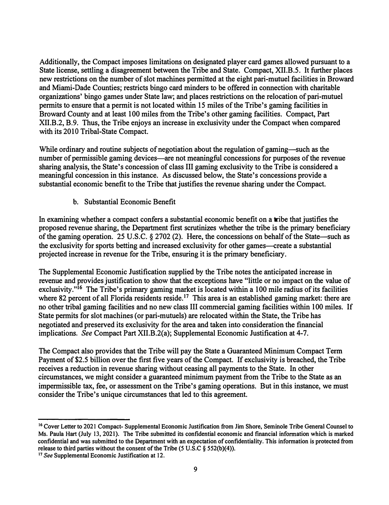Additionally, the Compact imposes limitations on designated player card games allowed pursuant to a State license, settling a disagreement between the Tribe and State. Compact, XII.B.5. It further places new restrictions on the number of slot machines permitted at the eight pari-mutuel facilities in Broward and Miami-Dade Counties; restricts bingo card minders to be offered in connection with charitable organizations' bingo games under State law; and places restrictions on the relocation of pari-mutuel permits to ensure that a permit is not located within 15 miles of the Tribe's gaming facilities in Broward County and at least 100 miles from the Tribe's other gaming facilities. Compact, Part XII.B.2, B.9. Thus, the Tribe enjoys an increase in exclusivity under the Compact when compared with its 2010 Tribal-State Compact.

While ordinary and routine subjects of negotiation about the regulation of gaming-such as the number of permissible gaming devices—are not meaningful concessions for purposes of the revenue sharing analysis, the State's concession of class III gaming exclusivity to the Tribe is considered a meaningful concession in this instance. As discussed below, the State's concessions provide a substantial economic benefit to the Tribe that justifies the revenue sharing under the Compact.

b. Substantial Economic Benefit

In examining whether a compact confers a substantial economic benefit on a tribe that justifies the proposed revenue sharing, the Department first scrutinizes whether the tribe is the primary beneficiary of the gaming operation. 25 U.S.C. § 2702 (2). Here, the concessions on behalf of the State-such as the exclusivity for sports betting and increased exclusivity for other games—create a substantial projected increase in revenue for the Tribe, ensuring it is the primary beneficiary.

The Supplemental Economic Justification supplied by the Tribe notes the anticipated increase in revenue and provides justification to show that the exceptions have "little or no impact on the value of exclusivity."<sup>16</sup> The Tribe's primary gaming market is located within a 100 mile radius of its facilities where 82 percent of all Florida residents reside.<sup>17</sup> This area is an established gaming market: there are no other tribal gaming facilities and no new class III commercial gaming facilities within 100 miles. If State permits for slot machines (or pari-mutuels) are relocated within the State, the Tribe has negotiated and preserved its exclusivity for the area and taken into consideration the financial implications. *See* Compact Part XII.B.2(a); Supplemental Economic Justification at 4-7.

The Compact also provides that the Tribe will pay the State a Guaranteed Minimum Compact Term Payment of \$2.5 billion over the first five years of the Compact. If exclusivity is breached, the Tribe receives a reduction in revenue sharing without ceasing all payments to the State. In other circumstances, we might consider a guaranteed minimum payment from the Tribe to the State as an impermissible tax, fee, or assessment on the Tribe's gaming operations. But in this instance, we must consider the Tribe's unique circumstances that led to this agreement.

<sup>16</sup>**Cover Letter to 2021 Compact- Supplemental Economic Justification from Jim Shore, Seminole Tribe General Counsel to Ms. Paula Hart (July 13, 2021). The Tribe submitted its confidential economic and financial information which is marked confidential and was submitted to the Department with an expectation of confidentiality. This information is protected from release to third parties without the consent of the Tribe (5 U.S.C § 552(b)(4)).** 

<sup>17</sup>*See* **Supplemental Economic Justification at 12.**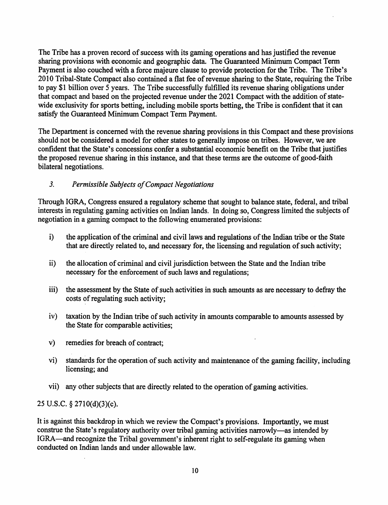The Tribe has a proven record of success with its gaming operations and has justified the revenue sharing provisions with economic and geographic data. The Guaranteed Minimum Compact Term Payment is also couched with a force majeure clause to provide protection for the Tribe. The Tribe's 2010 Tribal-State Compact also contained a flat fee of revenue sharing to the State, requiring the Tribe to pay \$1 billion over *5* years. The Tribe successfully fulfilled its revenue sharing obligations under that compact and based on the projected revenue under the 2021 Compact with the addition of statewide exclusivity for sports betting, including mobile sports betting, the Tribe is confident that it can satisfy the Guaranteed Minimum Compact Term Payment.

The Department is concerned with the revenue sharing provisions in this Compact and these provisions should not be considered a model for other states to generally impose on tribes. However, we are confident that the State's concessions confer a substantial economic benefit on the Tribe that justifies the proposed revenue sharing in this instance, and that these terms are the outcome of good-faith bilateral negotiations.

#### *3. Permissible Subjects ofCompact Negotiations*

Through IGRA, Congress ensured a regulatory scheme that sought to balance state, federal, and tribal interests in regulating gaming activities on Indian lands. In doing so, Congress limited the subjects of negotiation in a gaming compact to the following enumerated provisions:

- i) the application of the criminal and civil laws and regulations of the Indian tribe or the State that are directly related to, and necessary for, the licensing and regulation of such activity;
- ii) the allocation of criminal and civil jurisdiction between the State and the Indian tribe necessary for the enforcement of such laws and regulations;
- iii) the assessment by the State of such activities in such amounts as are necessary to defray the costs of regulating such activity;
- $iv)$  taxation by the Indian tribe of such activity in amounts comparable to amounts assessed by the State for comparable activities;
- v) remedies for breach of contract;
- vi) standards for the operation of such activity and maintenance of the gaming facility, including licensing; and
- vii) any other subjects that are directly related to the operation of gaming activities.

25 U.S.C. § 27l0(d)(3)(c).

It is against this backdrop in which we review the Compact's provisions. Importantly, we must construe the State's regulatory authority over tribal gaming activities narrowly-as intended by IGRA-and recognize the Tribal government's inherent right to self-regulate its gaming when conducted on Indian lands and under allowable law.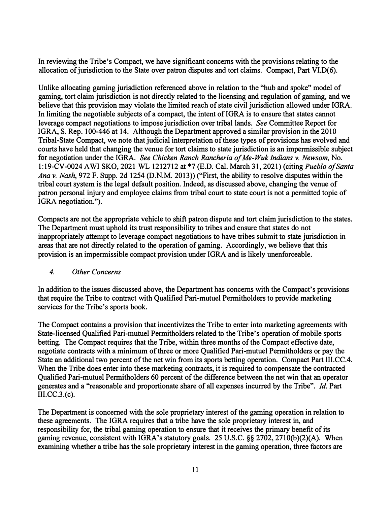**In reviewing the Tribe's Compact, we have significant concerns with the provisions relating to the allocation of jurisdiction to the State over patron disputes and tort claims. Compact, Part VI.D( 6).** 

**Unlike allocating gaming jurisdiction referenced above in relation to the "hub and spoke" model of gaming, tort claim jurisdiction is not directly related to the licensing and regulation of gaming, and we believe that this provision may violate the limited reach of state civil jurisdiction allowed under IGRA. In limiting the negotiable subjects of a compact, the intent of IGRA is to ensure that states cannot leverage compact negotiations to impose jurisdiction over tribal lands.** *See* **Committee Report for IGRA, S. Rep. 100-446 at 14. Although the Department approved a similar provision in the 2010 Tribal-State Compact, we note that judicial interpretation of these types of provisions has evolved and courts have held that changing the venue for tort claims to state jurisdiction is an impermissible subject for negotiation under the IGRA.** *See Chicken Ranch Rancheria of Me-Wuk Indians* **v.** *Newsom,* **No. l:19-CV-0024 AWi SKO, 2021 WL 1212712 at \*7 (E.D. Cal. March 31, 2021) (citing** *Pueblo o/Santa Ana v. Nash,* **972 F. Supp. 2d 1254 (D.N.M. 2013)) ("First, the ability to resolve disputes within the tribal court system is the legal default position. Indeed, as discussed above, changing the venue of patron personal injury and employee claims from tribal court to state court is not a permitted topic of**  IGRA negotiation.").

**Compacts are not the appropriate vehicle to shift patron dispute and tort claim jurisdiction to the states. The Department must uphold its trust responsibility to tribes and ensure that states do not inappropriately attempt to leverage compact negotiations to have tribes submit to state jurisdiction in areas that are not directly related to the operation of gaming. Accordingly, we believe that this provision is an impermissible compact provision under IGRA and is likely unenforceable.** 

#### *4. Other Concerns*

In addition to the issues discussed above, the Department has concerns with the Compact's provisions **that require the Tribe to contract with Qualified Pari-mutuel Permitholders to provide marketing services for the Tribe's sports book.** 

The Compact contains a provision that incentivizes the Tribe to enter into marketing agreements with **State-licensed Qualified Pari-mutuel Permitholders related to the Tribe's operation of mobile sports betting. The Compact requires that the Tribe, within three months of the Compact effective date, negotiate contracts with a minimum of three or more Qualified Pari-mutuel Permitholders or pay the State an additional two percent of the net win from its sports betting operation. Compact Part 111.CC.4. When the Tribe does enter into these marketing contracts, it is required to compensate the contracted Qualified Pari-mutuel Permitholders 60 percent of the difference between the net win that an operator generates and a "reasonable and proportionate share of all expenses incurred by the Tribe".** *Id.* **Part 111.CC.3.(c).**

**The Department is concerned with the sole proprietary interest of the gaming operation in relation to these agreements. The IGRA requires that a tribe have the sole proprietary interest in, and responsibility for, the tribal gaming operation to ensure that it receives the primary benefit of its gaming revenue, consistent with IGRA's statutory goals. 25 U.S.C. §§ 2702, 2710(b)(2)(A). When examining whether a tribe has the sole proprietary interest in the gaming operation, three factors are**